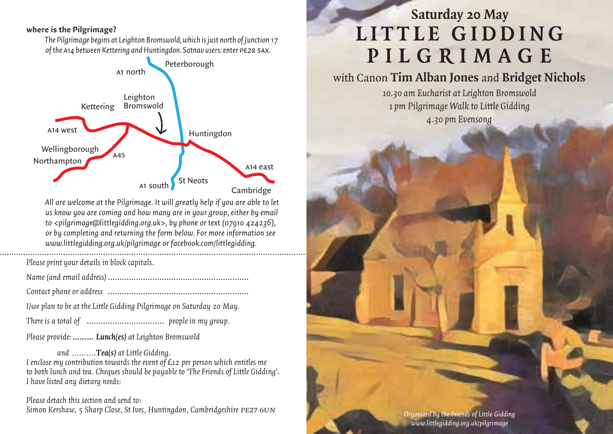#### **where is the Pilgrimage?**

*The Pilgrimage begins at Leighton Bromswold, which is just north of Junction 17 of the* a*14 between Kettering and Huntingdon. Satnav users: enter* pe28 5ax*.*



*All are welcome at the Pilgrimage. It will greatly help if you are able to let us know you are coming and how many are in your group, either by email to <pilgrimage@littlegidding.org.uk>, by phone or text (07910 424236), or by completing and returning the form below. For more information see www.littlegidding.org.uk/pilgrimage or facebook.com/littlegidding.*

 ..………………………………………………………………………………………………………………………… *Please print your details in block capitals.*

- *Name (and email address)* ……………………………………………………
- *Contact phone or address* ……………………………………………………
- *I/we plan to be at the Little Gidding Pilgrimage on Saturday 20 May.*
- *There is a total of* …………………………… *people in my group.*

*Please provide:……… Lunch(es) at Leighton Bromswold*

*and ..........Tea(s) at Little Gidding. I enclose my contribution towards the event of £12 per person which entitles me to both lunch and tea. Cheques should be payable to 'The Friends of Little Gidding'. I have listed any dietary needs:*

*Please detach this section and send to: Simon Kershaw, 5 Sharp Close, St Ives, Huntingdon, Cambridgeshire* pe27 6un

# **Saturday 20 May** LITTLE GIDDING **P i lg r i m a g e**

## with Canon **Tim Alban Jones** and **Bridget Nichols**

*10.30 am Eucharist at Leighton Bromswold 1 pm Pilgrimage Walk to Little Gidding 4.30pm Evensong*

> *Organized by the Friends of Little Gidding www.littlegidding.org.uk/pilgrimage*